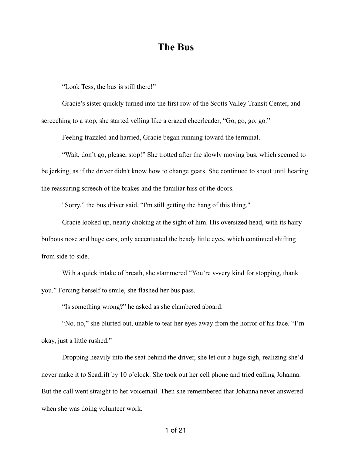## **The Bus**

"Look Tess, the bus is still there!"

Gracie's sister quickly turned into the first row of the Scotts Valley Transit Center, and screeching to a stop, she started yelling like a crazed cheerleader, "Go, go, go, go."

Feeling frazzled and harried, Gracie began running toward the terminal.

"Wait, don't go, please, stop!" She trotted after the slowly moving bus, which seemed to be jerking, as if the driver didn't know how to change gears. She continued to shout until hearing the reassuring screech of the brakes and the familiar hiss of the doors.

"Sorry," the bus driver said, "I'm still getting the hang of this thing."

Gracie looked up, nearly choking at the sight of him. His oversized head, with its hairy bulbous nose and huge ears, only accentuated the beady little eyes, which continued shifting from side to side.

With a quick intake of breath, she stammered "You're v-very kind for stopping, thank you." Forcing herself to smile, she flashed her bus pass.

"Is something wrong?" he asked as she clambered aboard.

"No, no," she blurted out, unable to tear her eyes away from the horror of his face. "I'm okay, just a little rushed."

Dropping heavily into the seat behind the driver, she let out a huge sigh, realizing she'd never make it to Seadrift by 10 o'clock. She took out her cell phone and tried calling Johanna. But the call went straight to her voicemail. Then she remembered that Johanna never answered when she was doing volunteer work.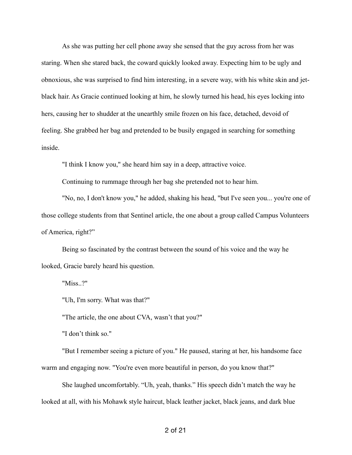As she was putting her cell phone away she sensed that the guy across from her was staring. When she stared back, the coward quickly looked away. Expecting him to be ugly and obnoxious, she was surprised to find him interesting, in a severe way, with his white skin and jetblack hair. As Gracie continued looking at him, he slowly turned his head, his eyes locking into hers, causing her to shudder at the unearthly smile frozen on his face, detached, devoid of feeling. She grabbed her bag and pretended to be busily engaged in searching for something inside.

"I think I know you," she heard him say in a deep, attractive voice.

Continuing to rummage through her bag she pretended not to hear him.

"No, no, I don't know you," he added, shaking his head, "but I've seen you... you're one of those college students from that Sentinel article, the one about a group called Campus Volunteers of America, right?"

Being so fascinated by the contrast between the sound of his voice and the way he looked, Gracie barely heard his question.

"Miss..?"

"Uh, I'm sorry. What was that?"

"The article, the one about CVA, wasn't that you?"

"I don't think so."

 "But I remember seeing a picture of you." He paused, staring at her, his handsome face warm and engaging now. "You're even more beautiful in person, do you know that?"

 She laughed uncomfortably. "Uh, yeah, thanks." His speech didn't match the way he looked at all, with his Mohawk style haircut, black leather jacket, black jeans, and dark blue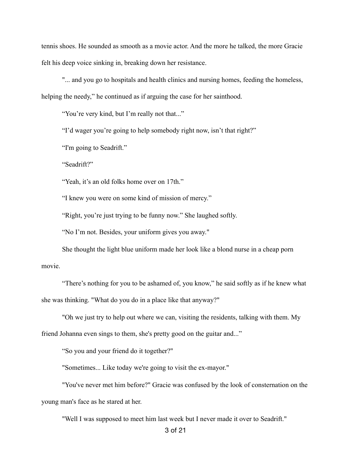tennis shoes. He sounded as smooth as a movie actor. And the more he talked, the more Gracie felt his deep voice sinking in, breaking down her resistance.

"... and you go to hospitals and health clinics and nursing homes, feeding the homeless, helping the needy," he continued as if arguing the case for her sainthood.

"You're very kind, but I'm really not that..."

"I'd wager you're going to help somebody right now, isn't that right?"

"I'm going to Seadrift."

"Seadrift?"

"Yeah, it's an old folks home over on 17th."

"I knew you were on some kind of mission of mercy."

"Right, you're just trying to be funny now." She laughed softly.

"No I'm not. Besides, your uniform gives you away."

She thought the light blue uniform made her look like a blond nurse in a cheap porn movie.

 "There's nothing for you to be ashamed of, you know," he said softly as if he knew what she was thinking. "What do you do in a place like that anyway?"

"Oh we just try to help out where we can, visiting the residents, talking with them. My

friend Johanna even sings to them, she's pretty good on the guitar and..."

"So you and your friend do it together?"

"Sometimes... Like today we're going to visit the ex-mayor."

"You've never met him before?" Gracie was confused by the look of consternation on the young man's face as he stared at her.

"Well I was supposed to meet him last week but I never made it over to Seadrift."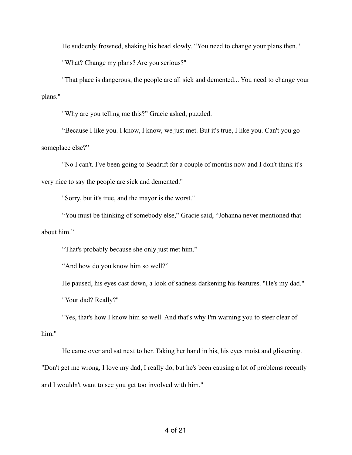He suddenly frowned, shaking his head slowly. "You need to change your plans then."

"What? Change my plans? Are you serious?"

"That place is dangerous, the people are all sick and demented... You need to change your plans."

"Why are you telling me this?" Gracie asked, puzzled.

"Because I like you. I know, I know, we just met. But it's true, I like you. Can't you go someplace else?"

"No I can't. I've been going to Seadrift for a couple of months now and I don't think it's very nice to say the people are sick and demented."

"Sorry, but it's true, and the mayor is the worst."

"You must be thinking of somebody else," Gracie said, "Johanna never mentioned that about him."

"That's probably because she only just met him."

"And how do you know him so well?"

He paused, his eyes cast down, a look of sadness darkening his features. "He's my dad." "Your dad? Really?"

"Yes, that's how I know him so well. And that's why I'm warning you to steer clear of him."

He came over and sat next to her. Taking her hand in his, his eyes moist and glistening. "Don't get me wrong, I love my dad, I really do, but he's been causing a lot of problems recently and I wouldn't want to see you get too involved with him."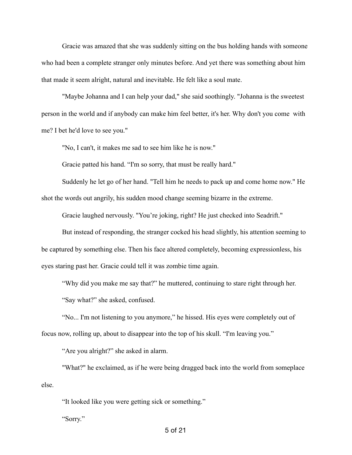Gracie was amazed that she was suddenly sitting on the bus holding hands with someone who had been a complete stranger only minutes before. And yet there was something about him that made it seem alright, natural and inevitable. He felt like a soul mate.

"Maybe Johanna and I can help your dad," she said soothingly. "Johanna is the sweetest person in the world and if anybody can make him feel better, it's her. Why don't you come with me? I bet he'd love to see you."

"No, I can't, it makes me sad to see him like he is now."

Gracie patted his hand. "I'm so sorry, that must be really hard."

 Suddenly he let go of her hand. "Tell him he needs to pack up and come home now." He shot the words out angrily, his sudden mood change seeming bizarre in the extreme.

Gracie laughed nervously. "You're joking, right? He just checked into Seadrift."

 But instead of responding, the stranger cocked his head slightly, his attention seeming to be captured by something else. Then his face altered completely, becoming expressionless, his eyes staring past her. Gracie could tell it was zombie time again.

"Why did you make me say that?" he muttered, continuing to stare right through her.

"Say what?" she asked, confused.

"No... I'm not listening to you anymore," he hissed. His eyes were completely out of focus now, rolling up, about to disappear into the top of his skull. "I'm leaving you."

"Are you alright?" she asked in alarm.

 "What?" he exclaimed, as if he were being dragged back into the world from someplace else.

"It looked like you were getting sick or something."

"Sorry."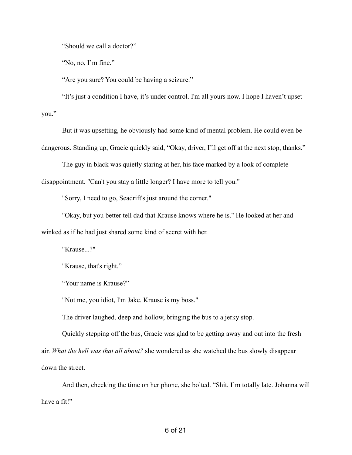"Should we call a doctor?"

"No, no, I'm fine."

"Are you sure? You could be having a seizure."

"It's just a condition I have, it's under control. I'm all yours now. I hope I haven't upset you."

But it was upsetting, he obviously had some kind of mental problem. He could even be

dangerous. Standing up, Gracie quickly said, "Okay, driver, I'll get off at the next stop, thanks."

The guy in black was quietly staring at her, his face marked by a look of complete

disappointment. "Can't you stay a little longer? I have more to tell you."

"Sorry, I need to go, Seadrift's just around the corner."

"Okay, but you better tell dad that Krause knows where he is." He looked at her and winked as if he had just shared some kind of secret with her.

"Krause...?"

"Krause, that's right."

"Your name is Krause?"

"Not me, you idiot, I'm Jake. Krause is my boss."

The driver laughed, deep and hollow, bringing the bus to a jerky stop.

Quickly stepping off the bus, Gracie was glad to be getting away and out into the fresh air. *What the hell was that all about?* she wondered as she watched the bus slowly disappear down the street.

And then, checking the time on her phone, she bolted. "Shit, I'm totally late. Johanna will have a fit!"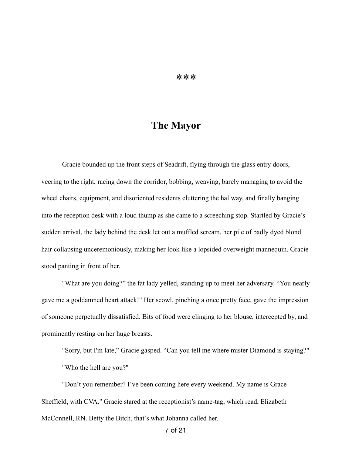## **The Mayor**

Gracie bounded up the front steps of Seadrift, flying through the glass entry doors, veering to the right, racing down the corridor, bobbing, weaving, barely managing to avoid the wheel chairs, equipment, and disoriented residents cluttering the hallway, and finally banging into the reception desk with a loud thump as she came to a screeching stop. Startled by Gracie's sudden arrival, the lady behind the desk let out a muffled scream, her pile of badly dyed blond hair collapsing unceremoniously, making her look like a lopsided overweight mannequin. Gracie stood panting in front of her.

 "What are you doing?" the fat lady yelled, standing up to meet her adversary. "You nearly gave me a goddamned heart attack!" Her scowl, pinching a once pretty face, gave the impression of someone perpetually dissatisfied. Bits of food were clinging to her blouse, intercepted by, and prominently resting on her huge breasts.

 "Sorry, but I'm late," Gracie gasped. "Can you tell me where mister Diamond is staying?" "Who the hell are you?"

"Don't you remember? I've been coming here every weekend. My name is Grace Sheffield, with CVA." Gracie stared at the receptionist's name-tag, which read, Elizabeth McConnell, RN. Betty the Bitch, that's what Johanna called her.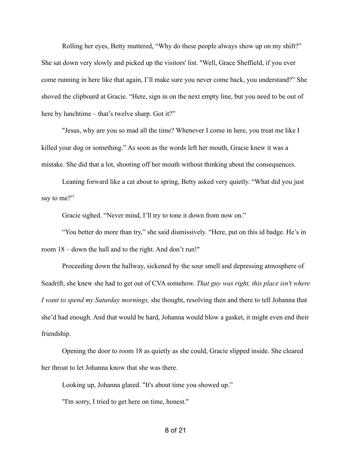Rolling her eyes, Betty muttered, "Why do these people always show up on my shift?" She sat down very slowly and picked up the visitors' list. "Well, Grace Sheffield, if you ever come running in here like that again, I'll make sure you never come back, you understand?" She shoved the clipboard at Gracie. "Here, sign in on the next empty line, but you need to be out of here by lunchtime – that's twelve sharp. Got it?"

 "Jesus, why are you so mad all the time? Whenever I come in here, you treat me like I killed your dog or something." As soon as the words left her mouth, Gracie knew it was a mistake. She did that a lot, shooting off her mouth without thinking about the consequences.

 Leaning forward like a cat about to spring, Betty asked very quietly. "What did you just say to me?"

Gracie sighed. "Never mind, I'll try to tone it down from now on."

"You better do more than try," she said dismissively. "Here, put on this id badge. He's in room 18 – down the hall and to the right. And don't run!"

 Proceeding down the hallway, sickened by the sour smell and depressing atmosphere of Seadrift, she knew she had to get out of CVA somehow. *That guy was right, this place isn't where I want to spend my Saturday mornings,* she thought, resolving then and there to tell Johanna that she'd had enough. And that would be hard, Johanna would blow a gasket, it might even end their friendship.

Opening the door to room 18 as quietly as she could, Gracie slipped inside. She cleared her throat to let Johanna know that she was there.

Looking up, Johanna glared. "It's about time you showed up."

"I'm sorry, I tried to get here on time, honest."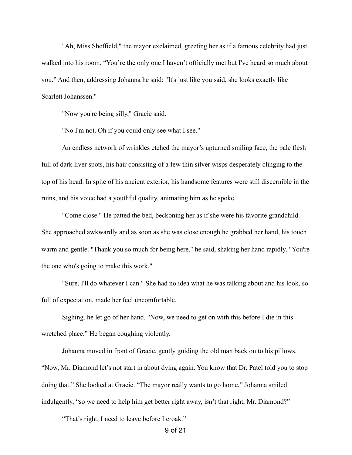"Ah, Miss Sheffield," the mayor exclaimed, greeting her as if a famous celebrity had just walked into his room. "You're the only one I haven't officially met but I've heard so much about you." And then, addressing Johanna he said: "It's just like you said, she looks exactly like Scarlett Johanssen."

"Now you're being silly," Gracie said.

"No I'm not. Oh if you could only see what I see."

 An endless network of wrinkles etched the mayor's upturned smiling face, the pale flesh full of dark liver spots, his hair consisting of a few thin silver wisps desperately clinging to the top of his head. In spite of his ancient exterior, his handsome features were still discernible in the ruins, and his voice had a youthful quality, animating him as he spoke.

"Come close." He patted the bed, beckoning her as if she were his favorite grandchild. She approached awkwardly and as soon as she was close enough he grabbed her hand, his touch warm and gentle. "Thank you so much for being here," he said, shaking her hand rapidly. "You're the one who's going to make this work."

"Sure, I'll do whatever I can." She had no idea what he was talking about and his look, so full of expectation, made her feel uncomfortable.

Sighing, he let go of her hand. "Now, we need to get on with this before I die in this wretched place." He began coughing violently.

 Johanna moved in front of Gracie, gently guiding the old man back on to his pillows. "Now, Mr. Diamond let's not start in about dying again. You know that Dr. Patel told you to stop doing that." She looked at Gracie. "The mayor really wants to go home," Johanna smiled indulgently, "so we need to help him get better right away, isn't that right, Mr. Diamond?"

"That's right, I need to leave before I croak."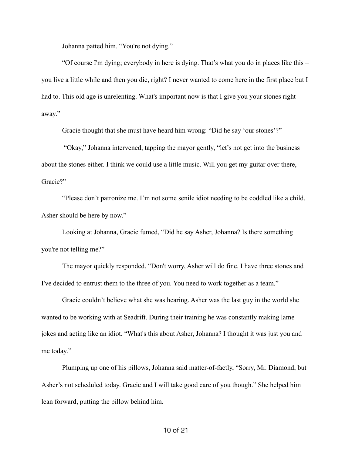Johanna patted him. "You're not dying."

 "Of course I'm dying; everybody in here is dying. That's what you do in places like this – you live a little while and then you die, right? I never wanted to come here in the first place but I had to. This old age is unrelenting. What's important now is that I give you your stones right away."

Gracie thought that she must have heard him wrong: "Did he say 'our stones'?"

 "Okay," Johanna intervened, tapping the mayor gently, "let's not get into the business about the stones either. I think we could use a little music. Will you get my guitar over there, Gracie?"

 "Please don't patronize me. I'm not some senile idiot needing to be coddled like a child. Asher should be here by now."

 Looking at Johanna, Gracie fumed, "Did he say Asher, Johanna? Is there something you're not telling me?"

The mayor quickly responded. "Don't worry, Asher will do fine. I have three stones and I've decided to entrust them to the three of you. You need to work together as a team."

Gracie couldn't believe what she was hearing. Asher was the last guy in the world she wanted to be working with at Seadrift. During their training he was constantly making lame jokes and acting like an idiot. "What's this about Asher, Johanna? I thought it was just you and me today."

 Plumping up one of his pillows, Johanna said matter-of-factly, "Sorry, Mr. Diamond, but Asher's not scheduled today. Gracie and I will take good care of you though." She helped him lean forward, putting the pillow behind him.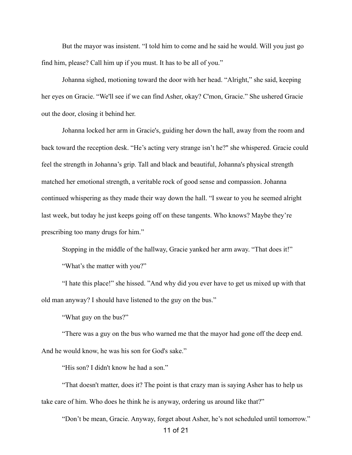But the mayor was insistent. "I told him to come and he said he would. Will you just go find him, please? Call him up if you must. It has to be all of you."

Johanna sighed, motioning toward the door with her head. "Alright," she said, keeping her eyes on Gracie. "We'll see if we can find Asher, okay? C'mon, Gracie." She ushered Gracie out the door, closing it behind her.

Johanna locked her arm in Gracie's, guiding her down the hall, away from the room and back toward the reception desk. "He's acting very strange isn't he?" she whispered. Gracie could feel the strength in Johanna's grip. Tall and black and beautiful, Johanna's physical strength matched her emotional strength, a veritable rock of good sense and compassion. Johanna continued whispering as they made their way down the hall. "I swear to you he seemed alright last week, but today he just keeps going off on these tangents. Who knows? Maybe they're prescribing too many drugs for him."

 Stopping in the middle of the hallway, Gracie yanked her arm away. "That does it!" "What's the matter with you?"

"I hate this place!" she hissed. "And why did you ever have to get us mixed up with that old man anyway? I should have listened to the guy on the bus."

"What guy on the bus?"

"There was a guy on the bus who warned me that the mayor had gone off the deep end. And he would know, he was his son for God's sake."

"His son? I didn't know he had a son."

"That doesn't matter, does it? The point is that crazy man is saying Asher has to help us take care of him. Who does he think he is anyway, ordering us around like that?"

"Don't be mean, Gracie. Anyway, forget about Asher, he's not scheduled until tomorrow."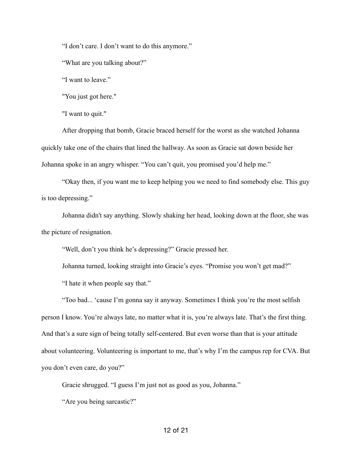"I don't care. I don't want to do this anymore."

"What are you talking about?"

"I want to leave."

"You just got here."

"I want to quit."

After dropping that bomb, Gracie braced herself for the worst as she watched Johanna quickly take one of the chairs that lined the hallway. As soon as Gracie sat down beside her Johanna spoke in an angry whisper. "You can't quit, you promised you'd help me."

"Okay then, if you want me to keep helping you we need to find somebody else. This guy is too depressing."

Johanna didn't say anything. Slowly shaking her head, looking down at the floor, she was the picture of resignation.

"Well, don't you think he's depressing?" Gracie pressed her.

Johanna turned, looking straight into Gracie's eyes. "Promise you won't get mad?"

"I hate it when people say that."

"Too bad... 'cause I'm gonna say it anyway. Sometimes I think you're the most selfish person I know. You're always late, no matter what it is, you're always late. That's the first thing. And that's a sure sign of being totally self-centered. But even worse than that is your attitude about volunteering. Volunteering is important to me, that's why I'm the campus rep for CVA. But you don't even care, do you?"

Gracie shrugged. "I guess I'm just not as good as you, Johanna."

"Are you being sarcastic?"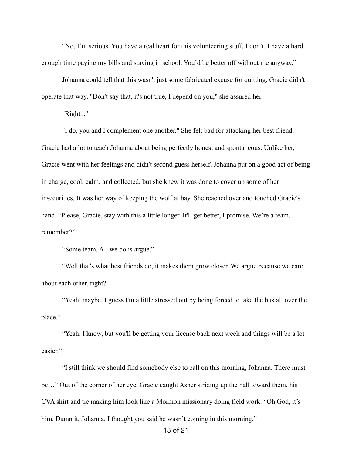"No, I'm serious. You have a real heart for this volunteering stuff, I don't. I have a hard enough time paying my bills and staying in school. You'd be better off without me anyway."

Johanna could tell that this wasn't just some fabricated excuse for quitting, Gracie didn't operate that way. "Don't say that, it's not true, I depend on you," she assured her.

"Right..."

"I do, you and I complement one another." She felt bad for attacking her best friend. Gracie had a lot to teach Johanna about being perfectly honest and spontaneous. Unlike her, Gracie went with her feelings and didn't second guess herself. Johanna put on a good act of being in charge, cool, calm, and collected, but she knew it was done to cover up some of her insecurities. It was her way of keeping the wolf at bay. She reached over and touched Gracie's hand. "Please, Gracie, stay with this a little longer. It'll get better, I promise. We're a team, remember?"

"Some team. All we do is argue."

"Well that's what best friends do, it makes them grow closer. We argue because we care about each other, right?"

"Yeah, maybe. I guess I'm a little stressed out by being forced to take the bus all over the place."

"Yeah, I know, but you'll be getting your license back next week and things will be a lot easier"

"I still think we should find somebody else to call on this morning, Johanna. There must be…" Out of the corner of her eye, Gracie caught Asher striding up the hall toward them, his CVA shirt and tie making him look like a Mormon missionary doing field work. "Oh God, it's him. Damn it, Johanna, I thought you said he wasn't coming in this morning."

13 of 21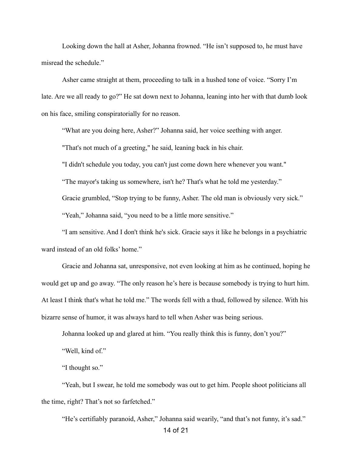Looking down the hall at Asher, Johanna frowned. "He isn't supposed to, he must have misread the schedule."

 Asher came straight at them, proceeding to talk in a hushed tone of voice. "Sorry I'm late. Are we all ready to go?" He sat down next to Johanna, leaning into her with that dumb look on his face, smiling conspiratorially for no reason.

"What are you doing here, Asher?" Johanna said, her voice seething with anger.

"That's not much of a greeting," he said, leaning back in his chair.

"I didn't schedule you today, you can't just come down here whenever you want."

"The mayor's taking us somewhere, isn't he? That's what he told me yesterday."

Gracie grumbled, "Stop trying to be funny, Asher. The old man is obviously very sick."

"Yeah," Johanna said, "you need to be a little more sensitive."

"I am sensitive. And I don't think he's sick. Gracie says it like he belongs in a psychiatric ward instead of an old folks' home."

Gracie and Johanna sat, unresponsive, not even looking at him as he continued, hoping he would get up and go away. "The only reason he's here is because somebody is trying to hurt him. At least I think that's what he told me." The words fell with a thud, followed by silence. With his bizarre sense of humor, it was always hard to tell when Asher was being serious.

 Johanna looked up and glared at him. "You really think this is funny, don't you?" "Well, kind of."

"I thought so."

"Yeah, but I swear, he told me somebody was out to get him. People shoot politicians all the time, right? That's not so farfetched."

"He's certifiably paranoid, Asher," Johanna said wearily, "and that's not funny, it's sad."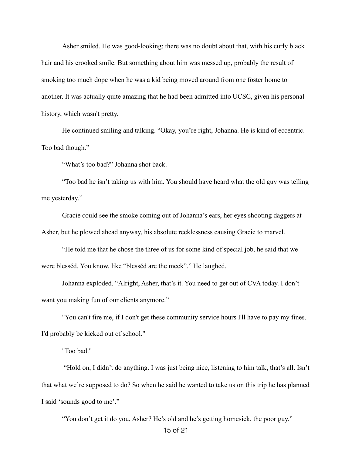Asher smiled. He was good-looking; there was no doubt about that, with his curly black hair and his crooked smile. But something about him was messed up, probably the result of smoking too much dope when he was a kid being moved around from one foster home to another. It was actually quite amazing that he had been admitted into UCSC, given his personal history, which wasn't pretty.

 He continued smiling and talking. "Okay, you're right, Johanna. He is kind of eccentric. Too bad though."

"What's too bad?" Johanna shot back.

"Too bad he isn't taking us with him. You should have heard what the old guy was telling me yesterday."

 Gracie could see the smoke coming out of Johanna's ears, her eyes shooting daggers at Asher, but he plowed ahead anyway, his absolute recklessness causing Gracie to marvel.

"He told me that he chose the three of us for some kind of special job, he said that we were blesséd. You know, like "blesséd are the meek"." He laughed.

Johanna exploded. "Alright, Asher, that's it. You need to get out of CVA today. I don't want you making fun of our clients anymore."

"You can't fire me, if I don't get these community service hours I'll have to pay my fines. I'd probably be kicked out of school."

"Too bad."

 "Hold on, I didn't do anything. I was just being nice, listening to him talk, that's all. Isn't that what we're supposed to do? So when he said he wanted to take us on this trip he has planned I said 'sounds good to me'."

"You don't get it do you, Asher? He's old and he's getting homesick, the poor guy."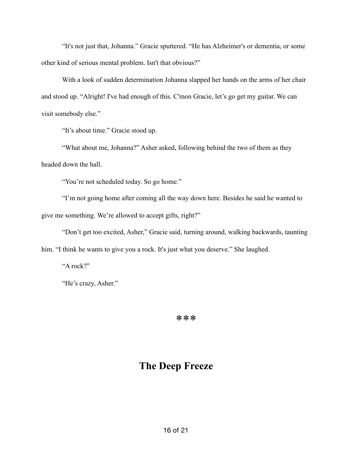"It's not just that, Johanna." Gracie sputtered. "He has Alzheimer's or dementia, or some other kind of serious mental problem. Isn't that obvious?"

With a look of sudden determination Johanna slapped her hands on the arms of her chair and stood up. "Alright! I've had enough of this. C'mon Gracie, let's go get my guitar. We can visit somebody else."

"It's about time." Gracie stood up.

"What about me, Johanna?" Asher asked, following behind the two of them as they headed down the hall.

"You're not scheduled today. So go home."

"I'm not going home after coming all the way down here. Besides he said he wanted to give me something. We're allowed to accept gifts, right?"

"Don't get too excited, Asher," Gracie said, turning around, walking backwards, taunting him. "I think he wants to give you a rock. It's just what you deserve." She laughed.

"A rock?"

"He's crazy, Asher."

\*\*\*

## **The Deep Freeze**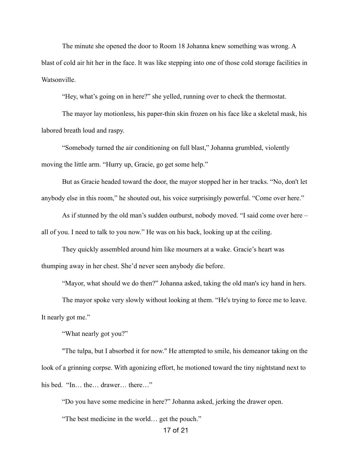The minute she opened the door to Room 18 Johanna knew something was wrong. A blast of cold air hit her in the face. It was like stepping into one of those cold storage facilities in Watsonville.

"Hey, what's going on in here?" she yelled, running over to check the thermostat.

 The mayor lay motionless, his paper-thin skin frozen on his face like a skeletal mask, his labored breath loud and raspy.

 "Somebody turned the air conditioning on full blast," Johanna grumbled, violently moving the little arm. "Hurry up, Gracie, go get some help."

But as Gracie headed toward the door, the mayor stopped her in her tracks. "No, don't let anybody else in this room," he shouted out, his voice surprisingly powerful. "Come over here."

 As if stunned by the old man's sudden outburst, nobody moved. "I said come over here – all of you. I need to talk to you now." He was on his back, looking up at the ceiling.

 They quickly assembled around him like mourners at a wake. Gracie's heart was thumping away in her chest. She'd never seen anybody die before.

"Mayor, what should we do then?" Johanna asked, taking the old man's icy hand in hers.

The mayor spoke very slowly without looking at them. "He's trying to force me to leave. It nearly got me."

"What nearly got you?"

"The tulpa, but I absorbed it for now." He attempted to smile, his demeanor taking on the look of a grinning corpse. With agonizing effort, he motioned toward the tiny nightstand next to his bed. "In… the… drawer… there…"

"Do you have some medicine in here?" Johanna asked, jerking the drawer open.

"The best medicine in the world… get the pouch."

17 of 21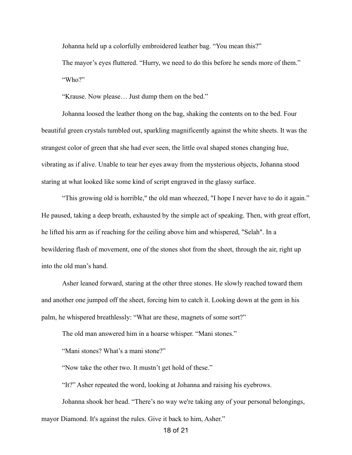Johanna held up a colorfully embroidered leather bag. "You mean this?"

 The mayor's eyes fluttered. "Hurry, we need to do this before he sends more of them." "Who?"

"Krause. Now please… Just dump them on the bed."

 Johanna loosed the leather thong on the bag, shaking the contents on to the bed. Four beautiful green crystals tumbled out, sparkling magnificently against the white sheets. It was the strangest color of green that she had ever seen, the little oval shaped stones changing hue, vibrating as if alive. Unable to tear her eyes away from the mysterious objects, Johanna stood staring at what looked like some kind of script engraved in the glassy surface.

"This growing old is horrible," the old man wheezed, "I hope I never have to do it again." He paused, taking a deep breath, exhausted by the simple act of speaking. Then, with great effort, he lifted his arm as if reaching for the ceiling above him and whispered, "Selah". In a bewildering flash of movement, one of the stones shot from the sheet, through the air, right up into the old man's hand.

Asher leaned forward, staring at the other three stones. He slowly reached toward them and another one jumped off the sheet, forcing him to catch it. Looking down at the gem in his palm, he whispered breathlessly: "What are these, magnets of some sort?"

The old man answered him in a hoarse whisper. "Mani stones."

"Mani stones? What's a mani stone?"

"Now take the other two. It mustn't get hold of these."

"It?" Asher repeated the word, looking at Johanna and raising his eyebrows.

Johanna shook her head. "There's no way we're taking any of your personal belongings,

mayor Diamond. It's against the rules. Give it back to him, Asher."

18 of 21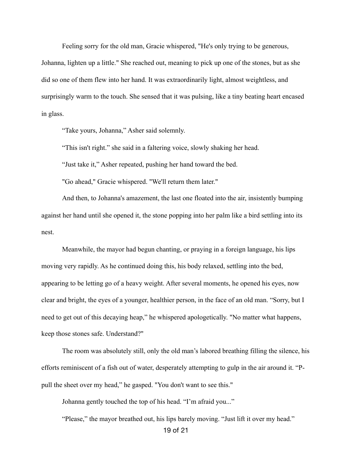Feeling sorry for the old man, Gracie whispered, "He's only trying to be generous, Johanna, lighten up a little." She reached out, meaning to pick up one of the stones, but as she did so one of them flew into her hand. It was extraordinarily light, almost weightless, and surprisingly warm to the touch. She sensed that it was pulsing, like a tiny beating heart encased in glass.

"Take yours, Johanna," Asher said solemnly.

"This isn't right." she said in a faltering voice, slowly shaking her head.

"Just take it," Asher repeated, pushing her hand toward the bed.

"Go ahead," Gracie whispered. "We'll return them later."

And then, to Johanna's amazement, the last one floated into the air, insistently bumping against her hand until she opened it, the stone popping into her palm like a bird settling into its nest.

 Meanwhile, the mayor had begun chanting, or praying in a foreign language, his lips moving very rapidly. As he continued doing this, his body relaxed, settling into the bed, appearing to be letting go of a heavy weight. After several moments, he opened his eyes, now clear and bright, the eyes of a younger, healthier person, in the face of an old man. "Sorry, but I need to get out of this decaying heap," he whispered apologetically. "No matter what happens, keep those stones safe. Understand?"

The room was absolutely still, only the old man's labored breathing filling the silence, his efforts reminiscent of a fish out of water, desperately attempting to gulp in the air around it. "Ppull the sheet over my head," he gasped. "You don't want to see this."

Johanna gently touched the top of his head. "I'm afraid you..."

"Please," the mayor breathed out, his lips barely moving. "Just lift it over my head."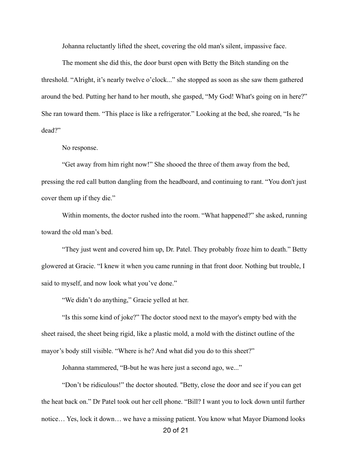Johanna reluctantly lifted the sheet, covering the old man's silent, impassive face.

The moment she did this, the door burst open with Betty the Bitch standing on the threshold. "Alright, it's nearly twelve o'clock..." she stopped as soon as she saw them gathered around the bed. Putting her hand to her mouth, she gasped, "My God! What's going on in here?" She ran toward them. "This place is like a refrigerator." Looking at the bed, she roared, "Is he dead?"

No response.

 "Get away from him right now!" She shooed the three of them away from the bed, pressing the red call button dangling from the headboard, and continuing to rant. "You don't just cover them up if they die."

 Within moments, the doctor rushed into the room. "What happened?" she asked, running toward the old man's bed.

 "They just went and covered him up, Dr. Patel. They probably froze him to death." Betty glowered at Gracie. "I knew it when you came running in that front door. Nothing but trouble, I said to myself, and now look what you've done."

"We didn't do anything," Gracie yelled at her.

 "Is this some kind of joke?" The doctor stood next to the mayor's empty bed with the sheet raised, the sheet being rigid, like a plastic mold, a mold with the distinct outline of the mayor's body still visible. "Where is he? And what did you do to this sheet?"

Johanna stammered, "B-but he was here just a second ago, we..."

 "Don't be ridiculous!" the doctor shouted. "Betty, close the door and see if you can get the heat back on." Dr Patel took out her cell phone. "Bill? I want you to lock down until further notice… Yes, lock it down… we have a missing patient. You know what Mayor Diamond looks 20 of 21